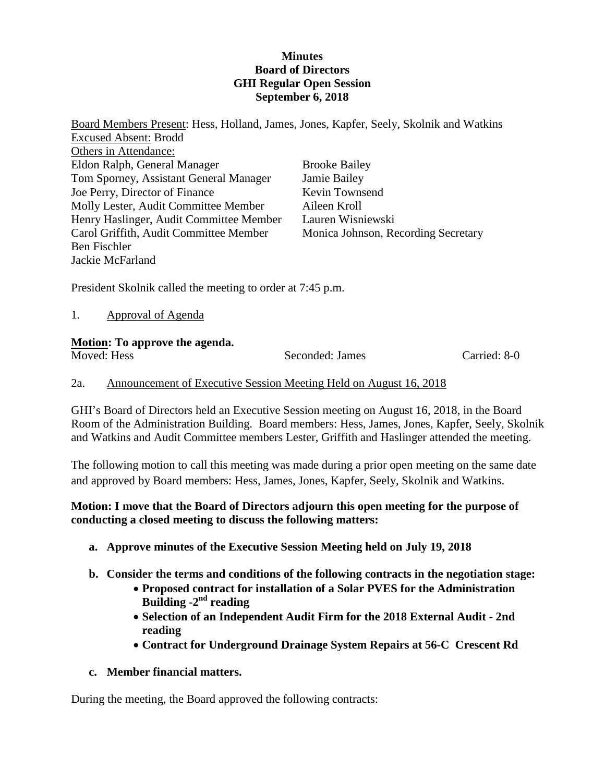### **Minutes Board of Directors GHI Regular Open Session September 6, 2018**

Board Members Present: Hess, Holland, James, Jones, Kapfer, Seely, Skolnik and Watkins Excused Absent: Brodd Others in Attendance: Eldon Ralph, General Manager Tom Sporney, Assistant General Manager Joe Perry, Director of Finance Molly Lester, Audit Committee Member Henry Haslinger, Audit Committee Member Carol Griffith, Audit Committee Member Ben Fischler Jackie McFarland Brooke Bailey Jamie Bailey Kevin Townsend Aileen Kroll Lauren Wisniewski Monica Johnson, Recording Secretary

President Skolnik called the meeting to order at 7:45 p.m.

1. Approval of Agenda

# **Motion: To approve the agenda.**

Moved: Hess Seconded: James Carried: 8-0

# 2a. Announcement of Executive Session Meeting Held on August 16, 2018

GHI's Board of Directors held an Executive Session meeting on August 16, 2018, in the Board Room of the Administration Building. Board members: Hess, James, Jones, Kapfer, Seely, Skolnik and Watkins and Audit Committee members Lester, Griffith and Haslinger attended the meeting.

The following motion to call this meeting was made during a prior open meeting on the same date and approved by Board members: Hess, James, Jones, Kapfer, Seely, Skolnik and Watkins.

# **Motion: I move that the Board of Directors adjourn this open meeting for the purpose of conducting a closed meeting to discuss the following matters:**

- **a. Approve minutes of the Executive Session Meeting held on July 19, 2018**
- **b. Consider the terms and conditions of the following contracts in the negotiation stage:**
	- **Proposed contract for installation of a Solar PVES for the Administration Building -2nd reading**
	- **Selection of an Independent Audit Firm for the 2018 External Audit - 2nd reading**
	- **Contract for Underground Drainage System Repairs at 56-C Crescent Rd**

# **c. Member financial matters.**

During the meeting, the Board approved the following contracts: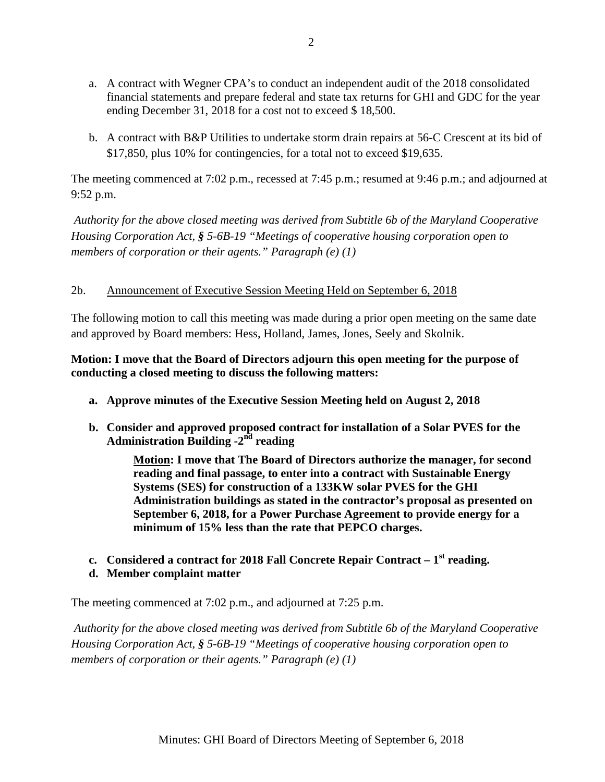- a. A contract with Wegner CPA's to conduct an independent audit of the 2018 consolidated financial statements and prepare federal and state tax returns for GHI and GDC for the year ending December 31, 2018 for a cost not to exceed \$ 18,500.
- b. A contract with B&P Utilities to undertake storm drain repairs at 56-C Crescent at its bid of \$17,850, plus 10% for contingencies, for a total not to exceed \$19,635.

The meeting commenced at 7:02 p.m., recessed at 7:45 p.m.; resumed at 9:46 p.m.; and adjourned at 9:52 p.m.

*Authority for the above closed meeting was derived from Subtitle 6b of the Maryland Cooperative Housing Corporation Act, § 5-6B-19 "Meetings of cooperative housing corporation open to members of corporation or their agents." Paragraph (e) (1)*

# 2b. Announcement of Executive Session Meeting Held on September 6, 2018

The following motion to call this meeting was made during a prior open meeting on the same date and approved by Board members: Hess, Holland, James, Jones, Seely and Skolnik.

# **Motion: I move that the Board of Directors adjourn this open meeting for the purpose of conducting a closed meeting to discuss the following matters:**

- **a. Approve minutes of the Executive Session Meeting held on August 2, 2018**
- **b. Consider and approved proposed contract for installation of a Solar PVES for the Administration Building -2nd reading**

**Motion: I move that The Board of Directors authorize the manager, for second reading and final passage, to enter into a contract with Sustainable Energy Systems (SES) for construction of a 133KW solar PVES for the GHI Administration buildings as stated in the contractor's proposal as presented on September 6, 2018, for a Power Purchase Agreement to provide energy for a minimum of 15% less than the rate that PEPCO charges.**

**c. Considered a contract for 2018 Fall Concrete Repair Contract – 1st reading.**

# **d. Member complaint matter**

The meeting commenced at 7:02 p.m., and adjourned at 7:25 p.m.

*Authority for the above closed meeting was derived from Subtitle 6b of the Maryland Cooperative Housing Corporation Act, § 5-6B-19 "Meetings of cooperative housing corporation open to members of corporation or their agents." Paragraph (e) (1)*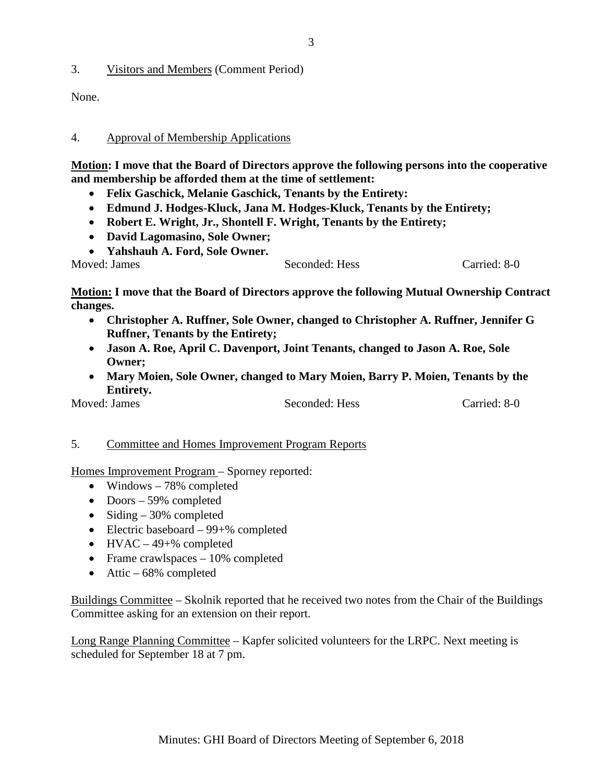3. Visitors and Members (Comment Period)

None.

#### 4. Approval of Membership Applications

**Motion: I move that the Board of Directors approve the following persons into the cooperative and membership be afforded them at the time of settlement:**

- **Felix Gaschick, Melanie Gaschick, Tenants by the Entirety:**
- **Edmund J. Hodges-Kluck, Jana M. Hodges-Kluck, Tenants by the Entirety;**
- **Robert E. Wright, Jr., Shontell F. Wright, Tenants by the Entirety;**
- **David Lagomasino, Sole Owner;**
- **Yahshauh A. Ford, Sole Owner.**

Moved: James Seconded: Hess Carried: 8-0

**Motion: I move that the Board of Directors approve the following Mutual Ownership Contract changes.**

- **Christopher A. Ruffner, Sole Owner, changed to Christopher A. Ruffner, Jennifer G Ruffner, Tenants by the Entirety;**
- **Jason A. Roe, April C. Davenport, Joint Tenants, changed to Jason A. Roe, Sole Owner;**
- **Mary Moien, Sole Owner, changed to Mary Moien, Barry P. Moien, Tenants by the Entirety.**

Moved: James Seconded: Hess Carried: 8-0

### 5. Committee and Homes Improvement Program Reports

Homes Improvement Program – Sporney reported:

- Windows 78% completed
- Doors 59% completed
- Siding  $-30\%$  completed
- Electric baseboard 99+% completed
- $HVAC 49 + %$  completed
- Frame crawlspaces 10% completed
- Attic  $-68\%$  completed

Buildings Committee – Skolnik reported that he received two notes from the Chair of the Buildings Committee asking for an extension on their report.

Long Range Planning Committee – Kapfer solicited volunteers for the LRPC. Next meeting is scheduled for September 18 at 7 pm.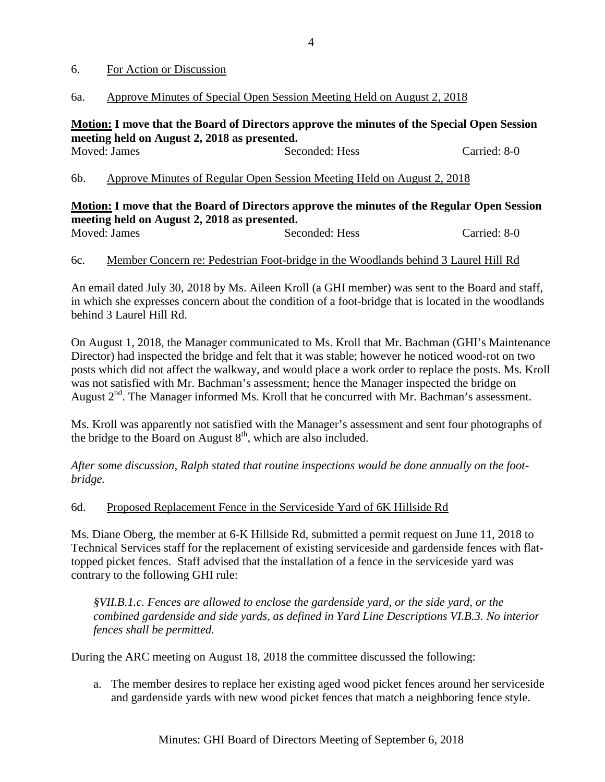#### 6. For Action or Discussion

### 6a. Approve Minutes of Special Open Session Meeting Held on August 2, 2018

#### **Motion: I move that the Board of Directors approve the minutes of the Special Open Session meeting held on August 2, 2018 as presented.** Moved: James Seconded: Hess Carried: 8-0

6b. Approve Minutes of Regular Open Session Meeting Held on August 2, 2018

#### **Motion: I move that the Board of Directors approve the minutes of the Regular Open Session meeting held on August 2, 2018 as presented.** Moved: James Seconded: Hess Carried: 8-0

# 6c. Member Concern re: Pedestrian Foot-bridge in the Woodlands behind 3 Laurel Hill Rd

An email dated July 30, 2018 by Ms. Aileen Kroll (a GHI member) was sent to the Board and staff, in which she expresses concern about the condition of a foot-bridge that is located in the woodlands behind 3 Laurel Hill Rd.

On August 1, 2018, the Manager communicated to Ms. Kroll that Mr. Bachman (GHI's Maintenance Director) had inspected the bridge and felt that it was stable; however he noticed wood-rot on two posts which did not affect the walkway, and would place a work order to replace the posts. Ms. Kroll was not satisfied with Mr. Bachman's assessment; hence the Manager inspected the bridge on August  $2<sup>nd</sup>$ . The Manager informed Ms. Kroll that he concurred with Mr. Bachman's assessment.

Ms. Kroll was apparently not satisfied with the Manager's assessment and sent four photographs of the bridge to the Board on August  $8<sup>th</sup>$ , which are also included.

*After some discussion, Ralph stated that routine inspections would be done annually on the footbridge.*

### 6d. Proposed Replacement Fence in the Serviceside Yard of 6K Hillside Rd

Ms. Diane Oberg, the member at 6-K Hillside Rd, submitted a permit request on June 11, 2018 to Technical Services staff for the replacement of existing serviceside and gardenside fences with flattopped picket fences. Staff advised that the installation of a fence in the serviceside yard was contrary to the following GHI rule:

*§VII.B.1.c. Fences are allowed to enclose the gardenside yard, or the side yard, or the combined gardenside and side yards, as defined in Yard Line Descriptions VI.B.3. No interior fences shall be permitted.*

During the ARC meeting on August 18, 2018 the committee discussed the following:

a. The member desires to replace her existing aged wood picket fences around her serviceside and gardenside yards with new wood picket fences that match a neighboring fence style.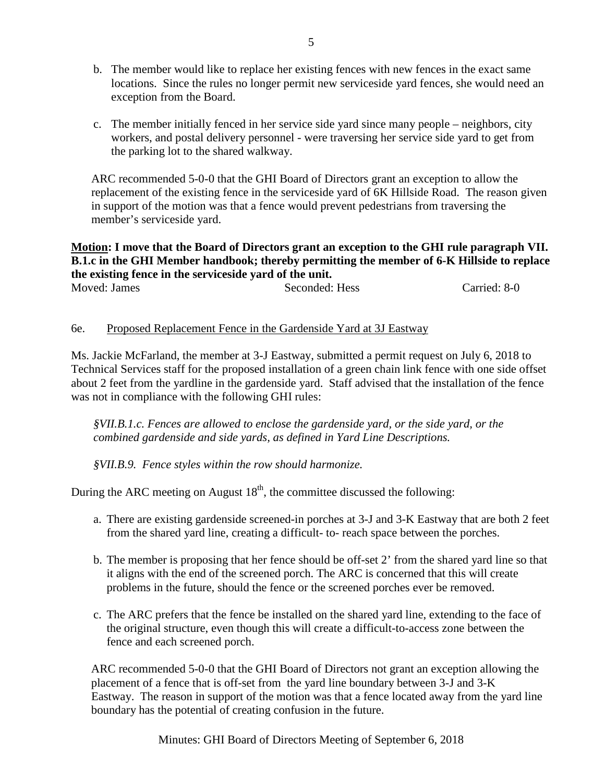- b. The member would like to replace her existing fences with new fences in the exact same locations. Since the rules no longer permit new serviceside yard fences, she would need an exception from the Board.
- c. The member initially fenced in her service side yard since many people neighbors, city workers, and postal delivery personnel - were traversing her service side yard to get from the parking lot to the shared walkway.

ARC recommended 5-0-0 that the GHI Board of Directors grant an exception to allow the replacement of the existing fence in the serviceside yard of 6K Hillside Road. The reason given in support of the motion was that a fence would prevent pedestrians from traversing the member's serviceside yard.

### **Motion: I move that the Board of Directors grant an exception to the GHI rule paragraph VII. B.1.c in the GHI Member handbook; thereby permitting the member of 6-K Hillside to replace the existing fence in the serviceside yard of the unit.**

| Moved: James | Seconded: Hess | Carried: 8-0 |
|--------------|----------------|--------------|

# 6e. Proposed Replacement Fence in the Gardenside Yard at 3J Eastway

Ms. Jackie McFarland, the member at 3-J Eastway, submitted a permit request on July 6, 2018 to Technical Services staff for the proposed installation of a green chain link fence with one side offset about 2 feet from the yardline in the gardenside yard. Staff advised that the installation of the fence was not in compliance with the following GHI rules:

*§VII.B.1.c. Fences are allowed to enclose the gardenside yard, or the side yard, or the combined gardenside and side yards, as defined in Yard Line Descriptions.*

*§VII.B.9. Fence styles within the row should harmonize.*

During the ARC meeting on August  $18<sup>th</sup>$ , the committee discussed the following:

- a. There are existing gardenside screened-in porches at 3-J and 3-K Eastway that are both 2 feet from the shared yard line, creating a difficult- to- reach space between the porches.
- b. The member is proposing that her fence should be off-set 2' from the shared yard line so that it aligns with the end of the screened porch. The ARC is concerned that this will create problems in the future, should the fence or the screened porches ever be removed.
- c. The ARC prefers that the fence be installed on the shared yard line, extending to the face of the original structure, even though this will create a difficult-to-access zone between the fence and each screened porch.

ARC recommended 5-0-0 that the GHI Board of Directors not grant an exception allowing the placement of a fence that is off-set from the yard line boundary between 3-J and 3-K Eastway. The reason in support of the motion was that a fence located away from the yard line boundary has the potential of creating confusion in the future.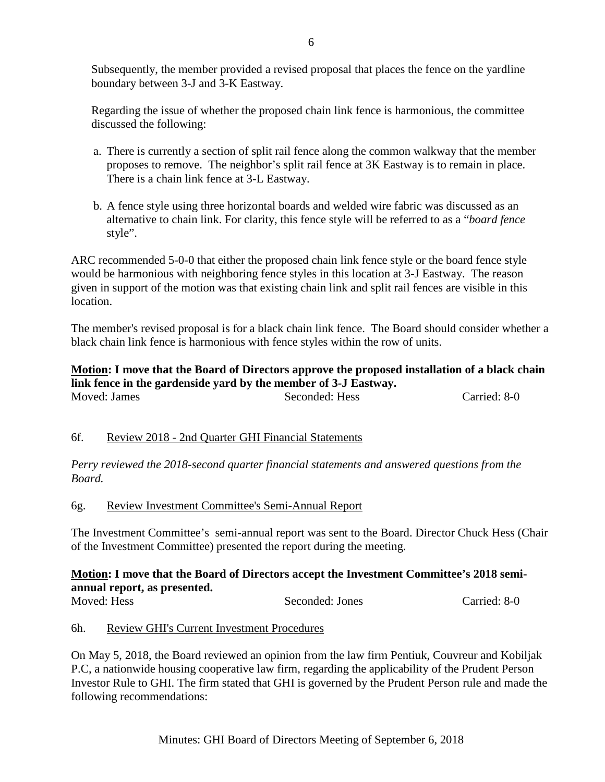Subsequently, the member provided a revised proposal that places the fence on the yardline boundary between 3-J and 3-K Eastway.

Regarding the issue of whether the proposed chain link fence is harmonious, the committee discussed the following:

- a. There is currently a section of split rail fence along the common walkway that the member proposes to remove. The neighbor's split rail fence at 3K Eastway is to remain in place. There is a chain link fence at 3-L Eastway.
- b. A fence style using three horizontal boards and welded wire fabric was discussed as an alternative to chain link. For clarity, this fence style will be referred to as a "*board fence* style".

ARC recommended 5-0-0 that either the proposed chain link fence style or the board fence style would be harmonious with neighboring fence styles in this location at 3-J Eastway. The reason given in support of the motion was that existing chain link and split rail fences are visible in this location.

The member's revised proposal is for a black chain link fence. The Board should consider whether a black chain link fence is harmonious with fence styles within the row of units.

# **Motion: I move that the Board of Directors approve the proposed installation of a black chain link fence in the gardenside yard by the member of 3-J Eastway.**

Moved: James Seconded: Hess Carried: 8-0

# 6f. Review 2018 - 2nd Quarter GHI Financial Statements

*Perry reviewed the 2018-second quarter financial statements and answered questions from the Board.*

6g. Review Investment Committee's Semi-Annual Report

The Investment Committee's semi-annual report was sent to the Board. Director Chuck Hess (Chair of the Investment Committee) presented the report during the meeting.

#### **Motion: I move that the Board of Directors accept the Investment Committee's 2018 semiannual report, as presented.** Moved: Hess Seconded: Jones Carried: 8-0

# 6h. Review GHI's Current Investment Procedures

On May 5, 2018, the Board reviewed an opinion from the law firm Pentiuk, Couvreur and Kobiljak P.C, a nationwide housing cooperative law firm, regarding the applicability of the Prudent Person Investor Rule to GHI. The firm stated that GHI is governed by the Prudent Person rule and made the following recommendations: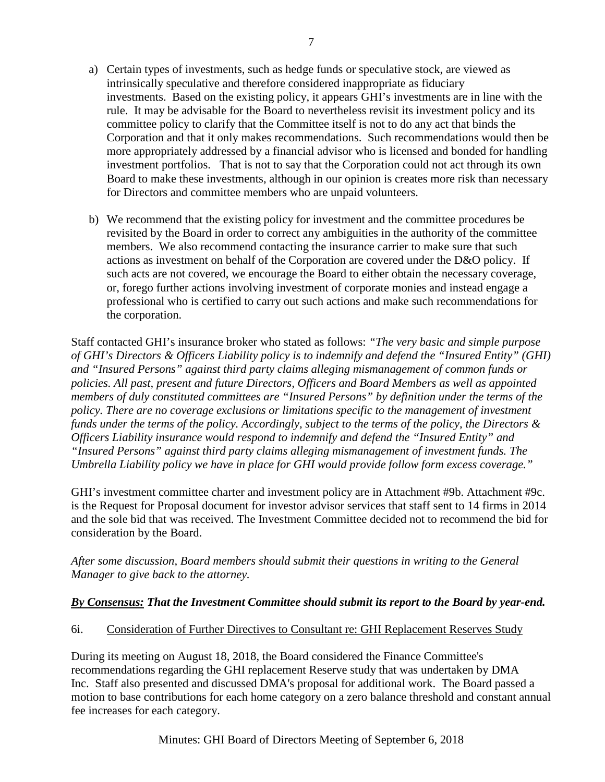- a) Certain types of investments, such as hedge funds or speculative stock, are viewed as intrinsically speculative and therefore considered inappropriate as fiduciary investments. Based on the existing policy, it appears GHI's investments are in line with the rule. It may be advisable for the Board to nevertheless revisit its investment policy and its committee policy to clarify that the Committee itself is not to do any act that binds the Corporation and that it only makes recommendations. Such recommendations would then be more appropriately addressed by a financial advisor who is licensed and bonded for handling investment portfolios. That is not to say that the Corporation could not act through its own Board to make these investments, although in our opinion is creates more risk than necessary for Directors and committee members who are unpaid volunteers.
- b) We recommend that the existing policy for investment and the committee procedures be revisited by the Board in order to correct any ambiguities in the authority of the committee members. We also recommend contacting the insurance carrier to make sure that such actions as investment on behalf of the Corporation are covered under the D&O policy. If such acts are not covered, we encourage the Board to either obtain the necessary coverage, or, forego further actions involving investment of corporate monies and instead engage a professional who is certified to carry out such actions and make such recommendations for the corporation.

Staff contacted GHI's insurance broker who stated as follows: *"The very basic and simple purpose of GHI's Directors & Officers Liability policy is to indemnify and defend the "Insured Entity" (GHI) and "Insured Persons" against third party claims alleging mismanagement of common funds or policies. All past, present and future Directors, Officers and Board Members as well as appointed members of duly constituted committees are "Insured Persons" by definition under the terms of the*  policy. There are no coverage exclusions or limitations specific to the management of investment *funds under the terms of the policy. Accordingly, subject to the terms of the policy, the Directors & Officers Liability insurance would respond to indemnify and defend the "Insured Entity" and "Insured Persons" against third party claims alleging mismanagement of investment funds. The Umbrella Liability policy we have in place for GHI would provide follow form excess coverage."*

GHI's investment committee charter and investment policy are in Attachment #9b. Attachment #9c. is the Request for Proposal document for investor advisor services that staff sent to 14 firms in 2014 and the sole bid that was received. The Investment Committee decided not to recommend the bid for consideration by the Board.

*After some discussion, Board members should submit their questions in writing to the General Manager to give back to the attorney.*

### *By Consensus: That the Investment Committee should submit its report to the Board by year-end.*

### 6i. Consideration of Further Directives to Consultant re: GHI Replacement Reserves Study

During its meeting on August 18, 2018, the Board considered the Finance Committee's recommendations regarding the GHI replacement Reserve study that was undertaken by DMA Inc. Staff also presented and discussed DMA's proposal for additional work. The Board passed a motion to base contributions for each home category on a zero balance threshold and constant annual fee increases for each category.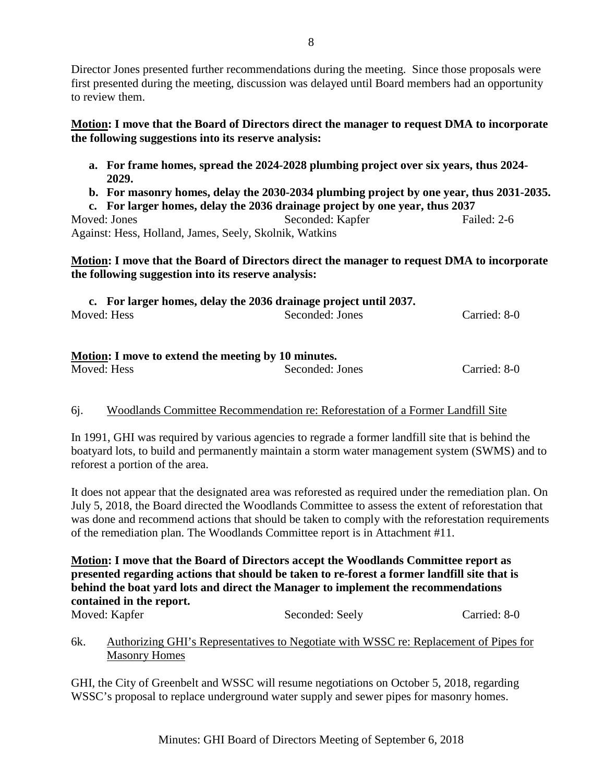Director Jones presented further recommendations during the meeting. Since those proposals were first presented during the meeting, discussion was delayed until Board members had an opportunity to review them.

**Motion: I move that the Board of Directors direct the manager to request DMA to incorporate the following suggestions into its reserve analysis:**

- **a. For frame homes, spread the 2024-2028 plumbing project over six years, thus 2024- 2029.**
- **b. For masonry homes, delay the 2030-2034 plumbing project by one year, thus 2031-2035.**

**c. For larger homes, delay the 2036 drainage project by one year, thus 2037** Moved: Jones Seconded: Kapfer Failed: 2-6 Against: Hess, Holland, James, Seely, Skolnik, Watkins

### **Motion: I move that the Board of Directors direct the manager to request DMA to incorporate the following suggestion into its reserve analysis:**

| c. For larger homes, delay the 2036 drainage project until 2037. |                 |              |
|------------------------------------------------------------------|-----------------|--------------|
| Moved: Hess                                                      | Seconded: Jones | Carried: 8-0 |

# **Motion: I move to extend the meeting by 10 minutes.**

| Moved: Hess | Seconded: Jones | Carried: 8-0 |
|-------------|-----------------|--------------|
|             |                 |              |

# 6j. Woodlands Committee Recommendation re: Reforestation of a Former Landfill Site

In 1991, GHI was required by various agencies to regrade a former landfill site that is behind the boatyard lots, to build and permanently maintain a storm water management system (SWMS) and to reforest a portion of the area.

It does not appear that the designated area was reforested as required under the remediation plan. On July 5, 2018, the Board directed the Woodlands Committee to assess the extent of reforestation that was done and recommend actions that should be taken to comply with the reforestation requirements of the remediation plan. The Woodlands Committee report is in Attachment #11.

**Motion: I move that the Board of Directors accept the Woodlands Committee report as presented regarding actions that should be taken to re-forest a former landfill site that is behind the boat yard lots and direct the Manager to implement the recommendations contained in the report.** 

Moved: Kapfer Seconded: Seely Carried: 8-0

# 6k. Authorizing GHI's Representatives to Negotiate with WSSC re: Replacement of Pipes for Masonry Homes

GHI, the City of Greenbelt and WSSC will resume negotiations on October 5, 2018, regarding WSSC's proposal to replace underground water supply and sewer pipes for masonry homes.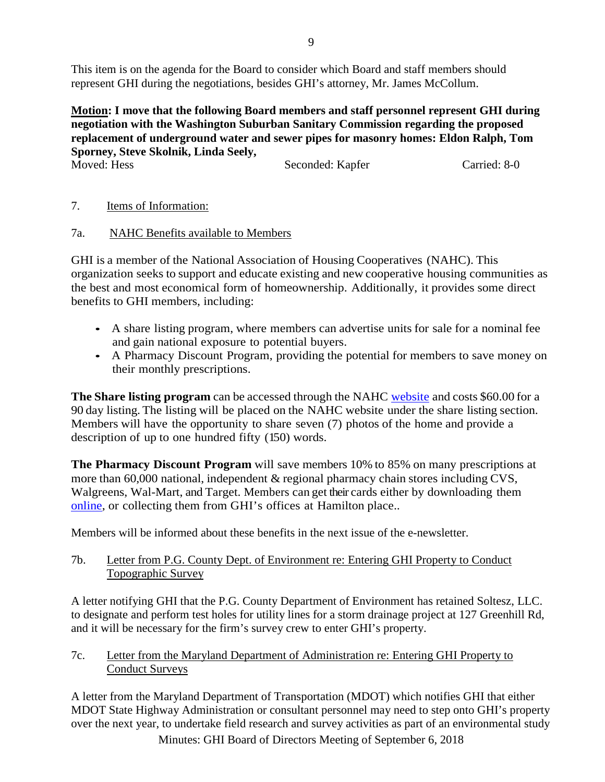This item is on the agenda for the Board to consider which Board and staff members should represent GHI during the negotiations, besides GHI's attorney, Mr. James McCollum.

**Motion: I move that the following Board members and staff personnel represent GHI during negotiation with the Washington Suburban Sanitary Commission regarding the proposed replacement of underground water and sewer pipes for masonry homes: Eldon Ralph, Tom Sporney, Steve Skolnik, Linda Seely,**

Moved: Hess Seconded: Kapfer Carried: 8-0

- 7. Items of Information:
- 7a. NAHC Benefits available to Members

GHI is a member of the National Association of Housing Cooperatives (NAHC). This organization seeks to support and educate existing and new cooperative housing communities as the best and most economical form of homeownership. Additionally, it provides some direct benefits to GHI members, including:

- A share listing program, where members can advertise units for sale for a nominal fee and gain national exposure to potential buyers.
- A Pharmacy Discount Program, providing the potential for members to save money on their monthly prescriptions.

**The Share listing program** can be accessed through the NAHC [website](https://coophousing.org/cooperative-usa-share-listing-program/) and costs \$60.00 for a 90 day listing. The listing will be placed on the NAHC website under the share listing section. Members will have the opportunity to share seven (7) photos of the home and provide a description of up to one hundred fifty (150) words.

**The Pharmacy Discount Program** will save members 10% to 85% on many prescriptions at more than 60,000 national, independent & regional pharmacy chain stores including CVS, Walgreens, Wal-Mart, and Target. Members can get their cards either by downloading them [online,](https://coophousing.org/become-a-member/membership-benefits/) or collecting them from GHI's offices at Hamilton place..

Members will be informed about these benefits in the next issue of the e-newsletter.

# 7b. Letter from P.G. County Dept. of Environment re: Entering GHI Property to Conduct Topographic Survey

A letter notifying GHI that the P.G. County Department of Environment has retained Soltesz, LLC. to designate and perform test holes for utility lines for a storm drainage project at 127 Greenhill Rd, and it will be necessary for the firm's survey crew to enter GHI's property.

7c. Letter from the Maryland Department of Administration re: Entering GHI Property to Conduct Surveys

A letter from the Maryland Department of Transportation (MDOT) which notifies GHI that either MDOT State Highway Administration or consultant personnel may need to step onto GHI's property over the next year, to undertake field research and survey activities as part of an environmental study

Minutes: GHI Board of Directors Meeting of September 6, 2018